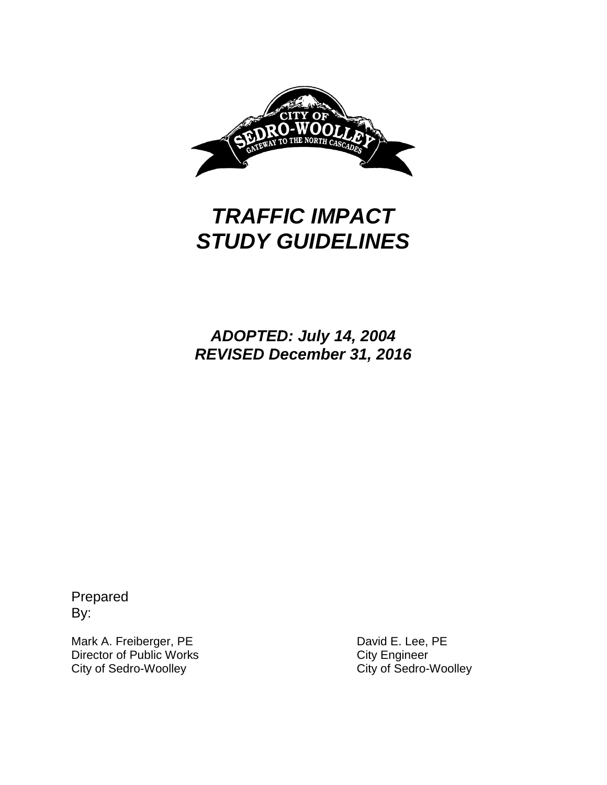

# *TRAFFIC IMPACT STUDY GUIDELINES*

*ADOPTED: July 14, 2004 REVISED December 31, 2016*

Prepared By:

Mark A. Freiberger, PE<br>
Director of Public Works
Director of Public Works
Director of Public Works
Director of Public Works
Director of Public Works
Director of Public Works
Director of Public Works
Director of Public Work Director of Public Works<br>
City City City of Sedro-Woolley<br>
City of Sedro-Woolley<br>
City of Sedro-Woolley City of Sedro-Woolley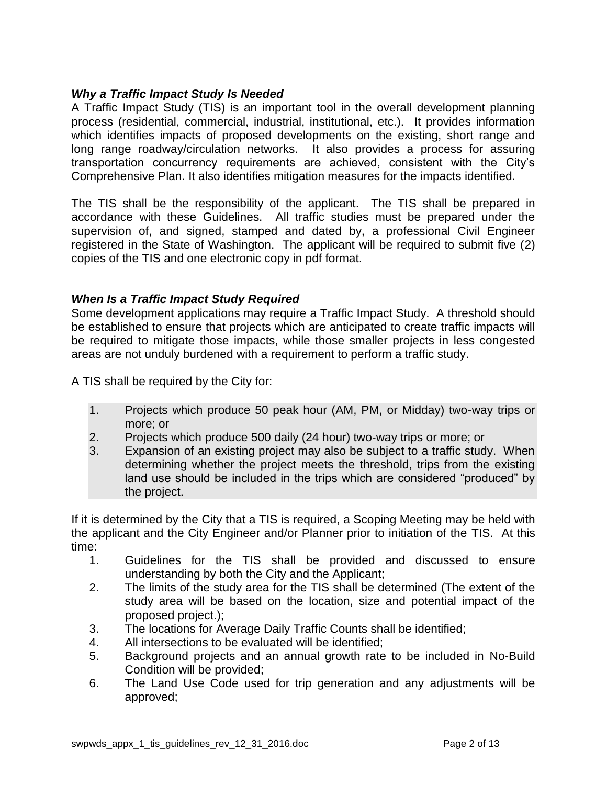## *Why a Traffic Impact Study Is Needed*

A Traffic Impact Study (TIS) is an important tool in the overall development planning process (residential, commercial, industrial, institutional, etc.). It provides information which identifies impacts of proposed developments on the existing, short range and long range roadway/circulation networks. It also provides a process for assuring transportation concurrency requirements are achieved, consistent with the City's Comprehensive Plan. It also identifies mitigation measures for the impacts identified.

The TIS shall be the responsibility of the applicant. The TIS shall be prepared in accordance with these Guidelines. All traffic studies must be prepared under the supervision of, and signed, stamped and dated by, a professional Civil Engineer registered in the State of Washington. The applicant will be required to submit five (2) copies of the TIS and one electronic copy in pdf format.

## *When Is a Traffic Impact Study Required*

Some development applications may require a Traffic Impact Study. A threshold should be established to ensure that projects which are anticipated to create traffic impacts will be required to mitigate those impacts, while those smaller projects in less congested areas are not unduly burdened with a requirement to perform a traffic study.

A TIS shall be required by the City for:

- 1. Projects which produce 50 peak hour (AM, PM, or Midday) two-way trips or more; or
- 2. Projects which produce 500 daily (24 hour) two-way trips or more; or
- 3. Expansion of an existing project may also be subject to a traffic study. When determining whether the project meets the threshold, trips from the existing land use should be included in the trips which are considered "produced" by the project.

If it is determined by the City that a TIS is required, a Scoping Meeting may be held with the applicant and the City Engineer and/or Planner prior to initiation of the TIS. At this time:

- 1. Guidelines for the TIS shall be provided and discussed to ensure understanding by both the City and the Applicant;
- 2. The limits of the study area for the TIS shall be determined (The extent of the study area will be based on the location, size and potential impact of the proposed project.);
- 3. The locations for Average Daily Traffic Counts shall be identified;
- 4. All intersections to be evaluated will be identified;
- 5. Background projects and an annual growth rate to be included in No-Build Condition will be provided;
- 6. The Land Use Code used for trip generation and any adjustments will be approved;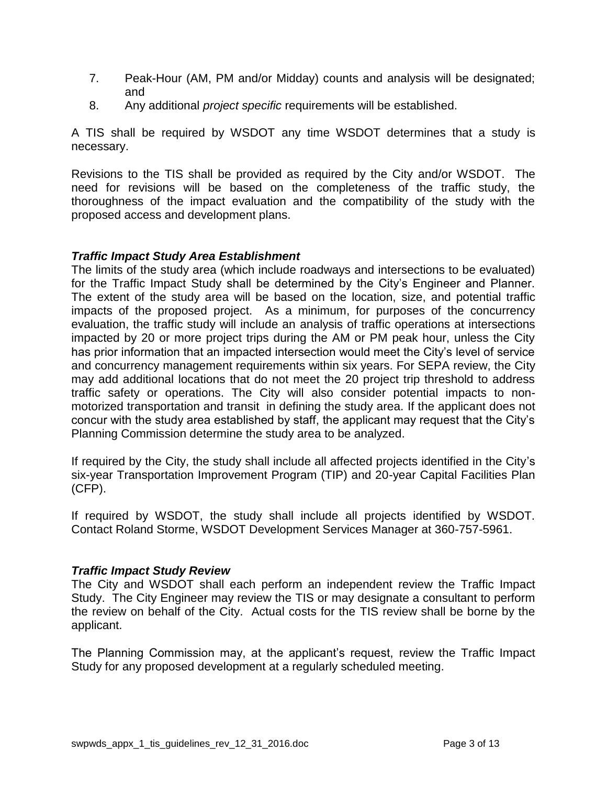- 7. Peak-Hour (AM, PM and/or Midday) counts and analysis will be designated; and
- 8. Any additional *project specific* requirements will be established.

A TIS shall be required by WSDOT any time WSDOT determines that a study is necessary.

Revisions to the TIS shall be provided as required by the City and/or WSDOT. The need for revisions will be based on the completeness of the traffic study, the thoroughness of the impact evaluation and the compatibility of the study with the proposed access and development plans.

# *Traffic Impact Study Area Establishment*

The limits of the study area (which include roadways and intersections to be evaluated) for the Traffic Impact Study shall be determined by the City's Engineer and Planner. The extent of the study area will be based on the location, size, and potential traffic impacts of the proposed project. As a minimum, for purposes of the concurrency evaluation, the traffic study will include an analysis of traffic operations at intersections impacted by 20 or more project trips during the AM or PM peak hour, unless the City has prior information that an impacted intersection would meet the City's level of service and concurrency management requirements within six years. For SEPA review, the City may add additional locations that do not meet the 20 project trip threshold to address traffic safety or operations. The City will also consider potential impacts to nonmotorized transportation and transit in defining the study area. If the applicant does not concur with the study area established by staff, the applicant may request that the City's Planning Commission determine the study area to be analyzed.

If required by the City, the study shall include all affected projects identified in the City's six-year Transportation Improvement Program (TIP) and 20-year Capital Facilities Plan (CFP).

If required by WSDOT, the study shall include all projects identified by WSDOT. Contact Roland Storme, WSDOT Development Services Manager at 360-757-5961.

## *Traffic Impact Study Review*

The City and WSDOT shall each perform an independent review the Traffic Impact Study. The City Engineer may review the TIS or may designate a consultant to perform the review on behalf of the City. Actual costs for the TIS review shall be borne by the applicant.

The Planning Commission may, at the applicant's request, review the Traffic Impact Study for any proposed development at a regularly scheduled meeting.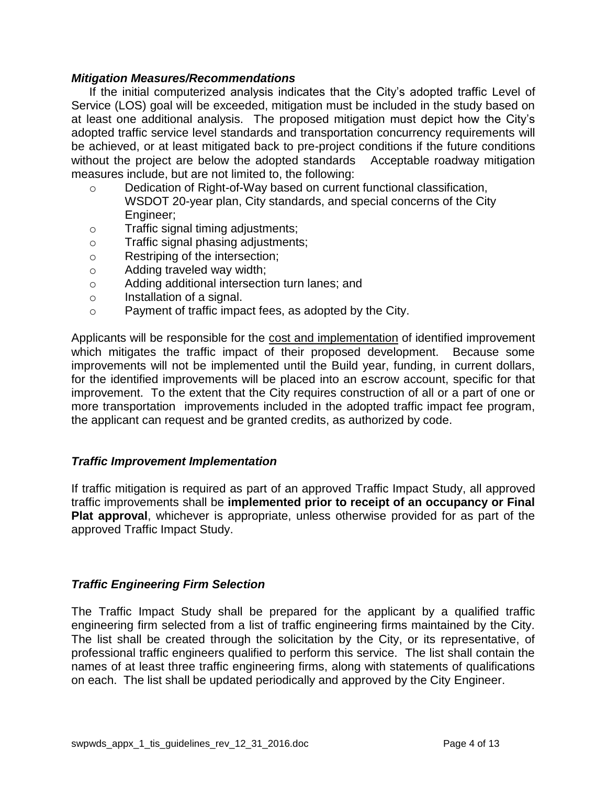#### *Mitigation Measures/Recommendations*

If the initial computerized analysis indicates that the City's adopted traffic Level of Service (LOS) goal will be exceeded, mitigation must be included in the study based on at least one additional analysis. The proposed mitigation must depict how the City's adopted traffic service level standards and transportation concurrency requirements will be achieved, or at least mitigated back to pre-project conditions if the future conditions without the project are below the adopted standards Acceptable roadway mitigation measures include, but are not limited to, the following:

- o Dedication of Right-of-Way based on current functional classification, WSDOT 20-year plan, City standards, and special concerns of the City Engineer;
- o Traffic signal timing adjustments;
- o Traffic signal phasing adjustments;
- o Restriping of the intersection;
- o Adding traveled way width;
- o Adding additional intersection turn lanes; and
- o Installation of a signal.
- o Payment of traffic impact fees, as adopted by the City.

Applicants will be responsible for the cost and implementation of identified improvement which mitigates the traffic impact of their proposed development. Because some improvements will not be implemented until the Build year, funding, in current dollars, for the identified improvements will be placed into an escrow account, specific for that improvement. To the extent that the City requires construction of all or a part of one or more transportation improvements included in the adopted traffic impact fee program, the applicant can request and be granted credits, as authorized by code.

#### *Traffic Improvement Implementation*

If traffic mitigation is required as part of an approved Traffic Impact Study, all approved traffic improvements shall be **implemented prior to receipt of an occupancy or Final Plat approval**, whichever is appropriate, unless otherwise provided for as part of the approved Traffic Impact Study.

## *Traffic Engineering Firm Selection*

The Traffic Impact Study shall be prepared for the applicant by a qualified traffic engineering firm selected from a list of traffic engineering firms maintained by the City. The list shall be created through the solicitation by the City, or its representative, of professional traffic engineers qualified to perform this service. The list shall contain the names of at least three traffic engineering firms, along with statements of qualifications on each. The list shall be updated periodically and approved by the City Engineer.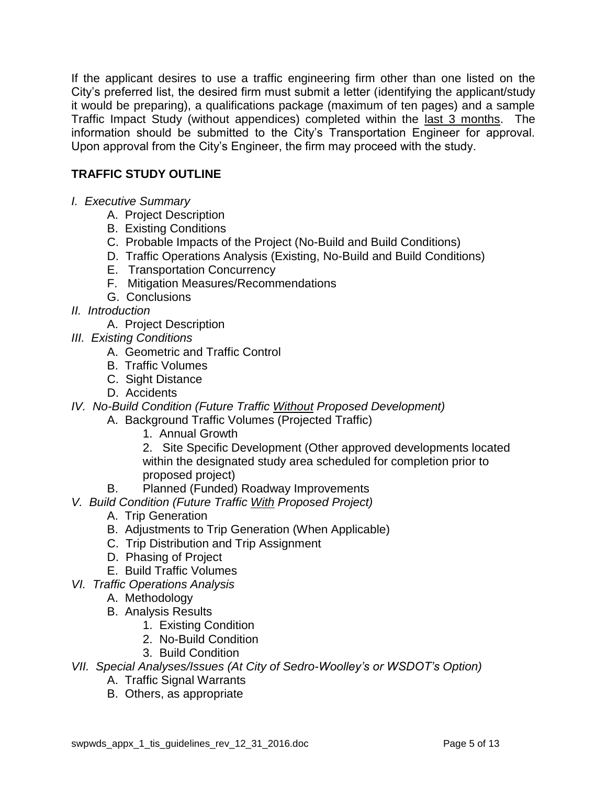If the applicant desires to use a traffic engineering firm other than one listed on the City's preferred list, the desired firm must submit a letter (identifying the applicant/study it would be preparing), a qualifications package (maximum of ten pages) and a sample Traffic Impact Study (without appendices) completed within the last 3 months. The information should be submitted to the City's Transportation Engineer for approval. Upon approval from the City's Engineer, the firm may proceed with the study.

# **TRAFFIC STUDY OUTLINE**

- *I. Executive Summary*
	- A. Project Description
	- B. Existing Conditions
	- C. Probable Impacts of the Project (No-Build and Build Conditions)
	- D. Traffic Operations Analysis (Existing, No-Build and Build Conditions)
	- E. Transportation Concurrency
	- F. Mitigation Measures/Recommendations
	- G. Conclusions
- *II. Introduction*
	- A. Project Description
- *III. Existing Conditions*
	- A. Geometric and Traffic Control
	- B. Traffic Volumes
	- C. Sight Distance
	- D. Accidents
- *IV. No-Build Condition (Future Traffic Without Proposed Development)*
	- A. Background Traffic Volumes (Projected Traffic)
		- 1. Annual Growth

2. Site Specific Development (Other approved developments located within the designated study area scheduled for completion prior to proposed project)

- B. Planned (Funded) Roadway Improvements
- *V. Build Condition (Future Traffic With Proposed Project)*
	- A. Trip Generation
	- B. Adjustments to Trip Generation (When Applicable)
	- C. Trip Distribution and Trip Assignment
	- D. Phasing of Project
	- E. Build Traffic Volumes
- *VI. Traffic Operations Analysis* 
	- A. Methodology
	- B. Analysis Results
		- 1. Existing Condition
		- 2. No-Build Condition
		- 3. Build Condition
- *VII. Special Analyses/Issues (At City of Sedro-Woolley's or WSDOT's Option)*
	- A. Traffic Signal Warrants
	- B. Others, as appropriate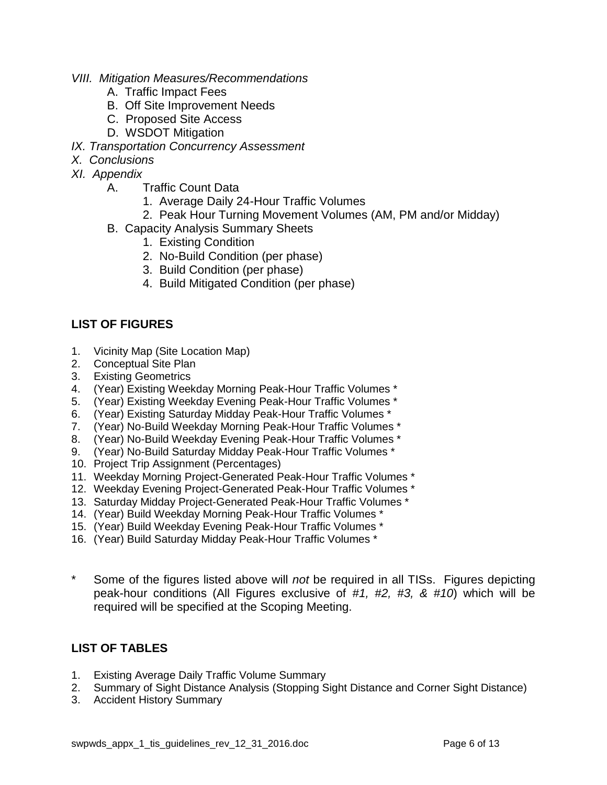- *VIII. Mitigation Measures/Recommendations*
	- A. Traffic Impact Fees
	- B. Off Site Improvement Needs
	- C. Proposed Site Access
	- D. WSDOT Mitigation
- *IX. Transportation Concurrency Assessment*
- *X. Conclusions*
- *XI. Appendix*
	- A. Traffic Count Data
		- 1. Average Daily 24-Hour Traffic Volumes
		- 2. Peak Hour Turning Movement Volumes (AM, PM and/or Midday)
	- B. Capacity Analysis Summary Sheets
		- 1. Existing Condition
		- 2. No-Build Condition (per phase)
		- 3. Build Condition (per phase)
		- 4. Build Mitigated Condition (per phase)

## **LIST OF FIGURES**

- 1. Vicinity Map (Site Location Map)
- 2. Conceptual Site Plan
- 3. Existing Geometrics
- 4. (Year) Existing Weekday Morning Peak-Hour Traffic Volumes \*
- 5. (Year) Existing Weekday Evening Peak-Hour Traffic Volumes \*
- 6. (Year) Existing Saturday Midday Peak-Hour Traffic Volumes \*
- 7. (Year) No-Build Weekday Morning Peak-Hour Traffic Volumes \*
- 8. (Year) No-Build Weekday Evening Peak-Hour Traffic Volumes \*
- 9. (Year) No-Build Saturday Midday Peak-Hour Traffic Volumes \*
- 10. Project Trip Assignment (Percentages)
- 11. Weekday Morning Project-Generated Peak-Hour Traffic Volumes \*
- 12. Weekday Evening Project-Generated Peak-Hour Traffic Volumes \*
- 13. Saturday Midday Project-Generated Peak-Hour Traffic Volumes \*
- 14. (Year) Build Weekday Morning Peak-Hour Traffic Volumes \*
- 15. (Year) Build Weekday Evening Peak-Hour Traffic Volumes \*
- 16. (Year) Build Saturday Midday Peak-Hour Traffic Volumes \*
- Some of the figures listed above will *not* be required in all TISs. Figures depicting peak-hour conditions (All Figures exclusive of *#1, #2, #3, & #10*) which will be required will be specified at the Scoping Meeting.

## **LIST OF TABLES**

- 1. Existing Average Daily Traffic Volume Summary
- 2. Summary of Sight Distance Analysis (Stopping Sight Distance and Corner Sight Distance)
- 3. Accident History Summary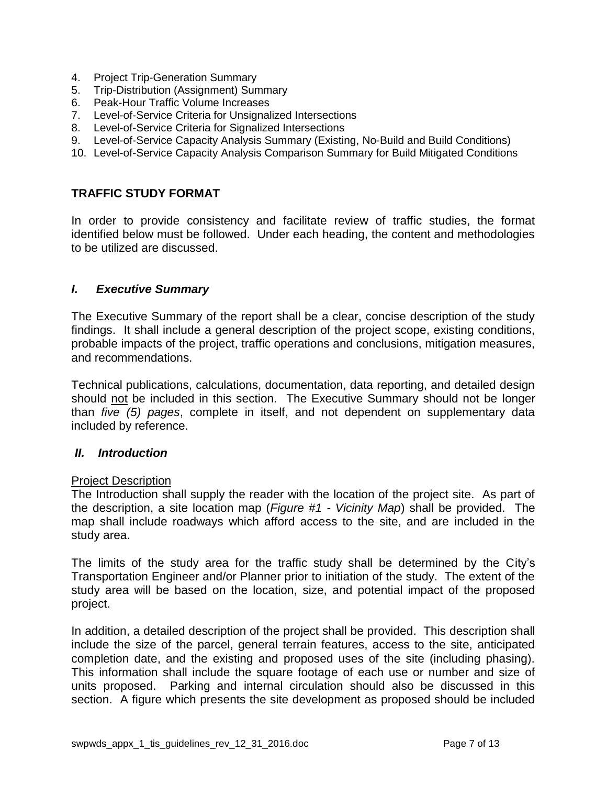- 4. Project Trip-Generation Summary
- 5. Trip-Distribution (Assignment) Summary
- 6. Peak-Hour Traffic Volume Increases
- 7. Level-of-Service Criteria for Unsignalized Intersections
- 8. Level-of-Service Criteria for Signalized Intersections
- 9. Level-of-Service Capacity Analysis Summary (Existing, No-Build and Build Conditions)
- 10. Level-of-Service Capacity Analysis Comparison Summary for Build Mitigated Conditions

#### **TRAFFIC STUDY FORMAT**

In order to provide consistency and facilitate review of traffic studies, the format identified below must be followed. Under each heading, the content and methodologies to be utilized are discussed.

#### *I. Executive Summary*

The Executive Summary of the report shall be a clear, concise description of the study findings. It shall include a general description of the project scope, existing conditions, probable impacts of the project, traffic operations and conclusions, mitigation measures, and recommendations.

Technical publications, calculations, documentation, data reporting, and detailed design should not be included in this section. The Executive Summary should not be longer than *five (5) pages*, complete in itself, and not dependent on supplementary data included by reference.

#### *II. Introduction*

#### Project Description

The Introduction shall supply the reader with the location of the project site. As part of the description, a site location map (*Figure #1 - Vicinity Map*) shall be provided. The map shall include roadways which afford access to the site, and are included in the study area.

The limits of the study area for the traffic study shall be determined by the City's Transportation Engineer and/or Planner prior to initiation of the study. The extent of the study area will be based on the location, size, and potential impact of the proposed project.

In addition, a detailed description of the project shall be provided. This description shall include the size of the parcel, general terrain features, access to the site, anticipated completion date, and the existing and proposed uses of the site (including phasing). This information shall include the square footage of each use or number and size of units proposed. Parking and internal circulation should also be discussed in this section. A figure which presents the site development as proposed should be included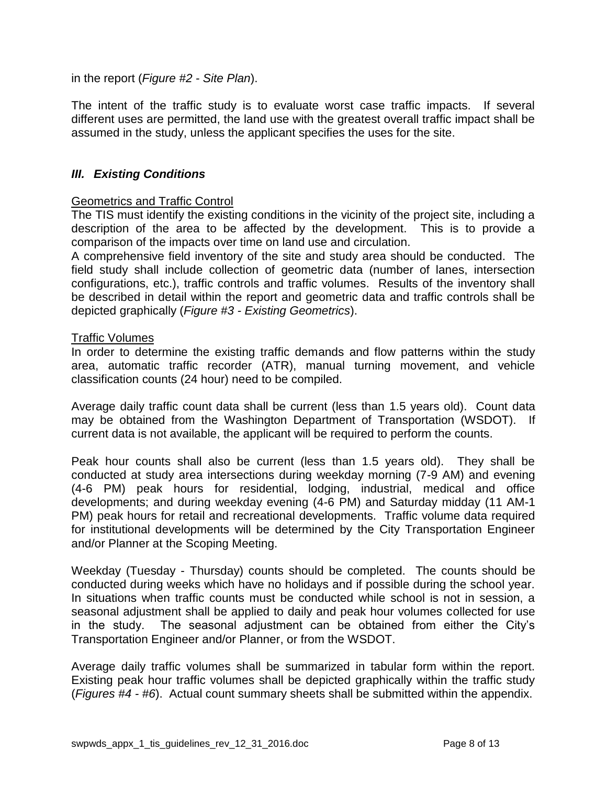in the report (*Figure #2 - Site Plan*).

The intent of the traffic study is to evaluate worst case traffic impacts. If several different uses are permitted, the land use with the greatest overall traffic impact shall be assumed in the study, unless the applicant specifies the uses for the site.

## *III. Existing Conditions*

#### Geometrics and Traffic Control

The TIS must identify the existing conditions in the vicinity of the project site, including a description of the area to be affected by the development. This is to provide a comparison of the impacts over time on land use and circulation.

A comprehensive field inventory of the site and study area should be conducted. The field study shall include collection of geometric data (number of lanes, intersection configurations, etc.), traffic controls and traffic volumes. Results of the inventory shall be described in detail within the report and geometric data and traffic controls shall be depicted graphically (*Figure #3 - Existing Geometrics*).

#### Traffic Volumes

In order to determine the existing traffic demands and flow patterns within the study area, automatic traffic recorder (ATR), manual turning movement, and vehicle classification counts (24 hour) need to be compiled.

Average daily traffic count data shall be current (less than 1.5 years old). Count data may be obtained from the Washington Department of Transportation (WSDOT). If current data is not available, the applicant will be required to perform the counts.

Peak hour counts shall also be current (less than 1.5 years old). They shall be conducted at study area intersections during weekday morning (7-9 AM) and evening (4-6 PM) peak hours for residential, lodging, industrial, medical and office developments; and during weekday evening (4-6 PM) and Saturday midday (11 AM-1 PM) peak hours for retail and recreational developments. Traffic volume data required for institutional developments will be determined by the City Transportation Engineer and/or Planner at the Scoping Meeting.

Weekday (Tuesday - Thursday) counts should be completed. The counts should be conducted during weeks which have no holidays and if possible during the school year. In situations when traffic counts must be conducted while school is not in session, a seasonal adjustment shall be applied to daily and peak hour volumes collected for use in the study. The seasonal adjustment can be obtained from either the City's Transportation Engineer and/or Planner, or from the WSDOT.

Average daily traffic volumes shall be summarized in tabular form within the report. Existing peak hour traffic volumes shall be depicted graphically within the traffic study (*Figures #4 - #6*). Actual count summary sheets shall be submitted within the appendix.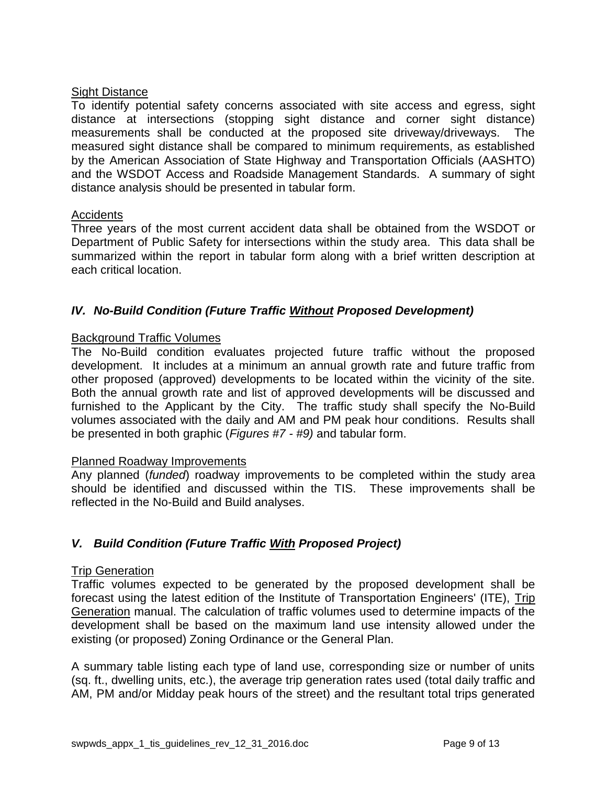## Sight Distance

To identify potential safety concerns associated with site access and egress, sight distance at intersections (stopping sight distance and corner sight distance) measurements shall be conducted at the proposed site driveway/driveways. The measured sight distance shall be compared to minimum requirements, as established by the American Association of State Highway and Transportation Officials (AASHTO) and the WSDOT Access and Roadside Management Standards. A summary of sight distance analysis should be presented in tabular form.

#### **Accidents**

Three years of the most current accident data shall be obtained from the WSDOT or Department of Public Safety for intersections within the study area. This data shall be summarized within the report in tabular form along with a brief written description at each critical location.

## *IV. No-Build Condition (Future Traffic Without Proposed Development)*

## Background Traffic Volumes

The No-Build condition evaluates projected future traffic without the proposed development. It includes at a minimum an annual growth rate and future traffic from other proposed (approved) developments to be located within the vicinity of the site. Both the annual growth rate and list of approved developments will be discussed and furnished to the Applicant by the City. The traffic study shall specify the No-Build volumes associated with the daily and AM and PM peak hour conditions. Results shall be presented in both graphic (*Figures #7 - #9)* and tabular form.

#### Planned Roadway Improvements

Any planned (*funded*) roadway improvements to be completed within the study area should be identified and discussed within the TIS. These improvements shall be reflected in the No-Build and Build analyses.

## *V. Build Condition (Future Traffic With Proposed Project)*

#### Trip Generation

Traffic volumes expected to be generated by the proposed development shall be forecast using the latest edition of the Institute of Transportation Engineers' (ITE), Trip Generation manual. The calculation of traffic volumes used to determine impacts of the development shall be based on the maximum land use intensity allowed under the existing (or proposed) Zoning Ordinance or the General Plan.

A summary table listing each type of land use, corresponding size or number of units (sq. ft., dwelling units, etc.), the average trip generation rates used (total daily traffic and AM, PM and/or Midday peak hours of the street) and the resultant total trips generated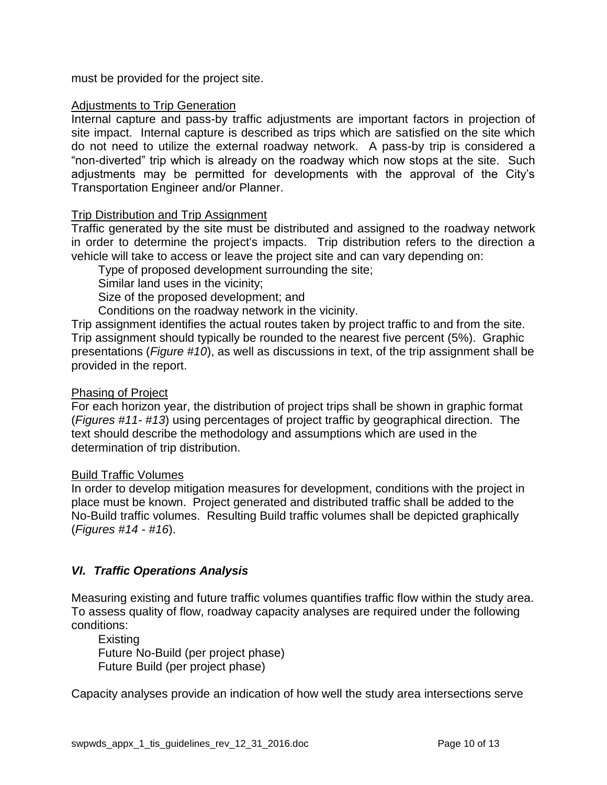must be provided for the project site.

#### Adjustments to Trip Generation

Internal capture and pass-by traffic adjustments are important factors in projection of site impact. Internal capture is described as trips which are satisfied on the site which do not need to utilize the external roadway network. A pass-by trip is considered a "non-diverted" trip which is already on the roadway which now stops at the site. Such adjustments may be permitted for developments with the approval of the City's Transportation Engineer and/or Planner.

#### Trip Distribution and Trip Assignment

Traffic generated by the site must be distributed and assigned to the roadway network in order to determine the project's impacts. Trip distribution refers to the direction a vehicle will take to access or leave the project site and can vary depending on:

Type of proposed development surrounding the site;

Similar land uses in the vicinity;

Size of the proposed development; and

Conditions on the roadway network in the vicinity.

Trip assignment identifies the actual routes taken by project traffic to and from the site. Trip assignment should typically be rounded to the nearest five percent (5%). Graphic presentations (*Figure #10*), as well as discussions in text, of the trip assignment shall be provided in the report.

#### Phasing of Project

For each horizon year, the distribution of project trips shall be shown in graphic format (*Figures #11- #13*) using percentages of project traffic by geographical direction. The text should describe the methodology and assumptions which are used in the determination of trip distribution.

#### Build Traffic Volumes

In order to develop mitigation measures for development, conditions with the project in place must be known. Project generated and distributed traffic shall be added to the No-Build traffic volumes. Resulting Build traffic volumes shall be depicted graphically (*Figures #14 - #16*).

## *VI. Traffic Operations Analysis*

Measuring existing and future traffic volumes quantifies traffic flow within the study area. To assess quality of flow, roadway capacity analyses are required under the following conditions:

**Existing** Future No-Build (per project phase) Future Build (per project phase)

Capacity analyses provide an indication of how well the study area intersections serve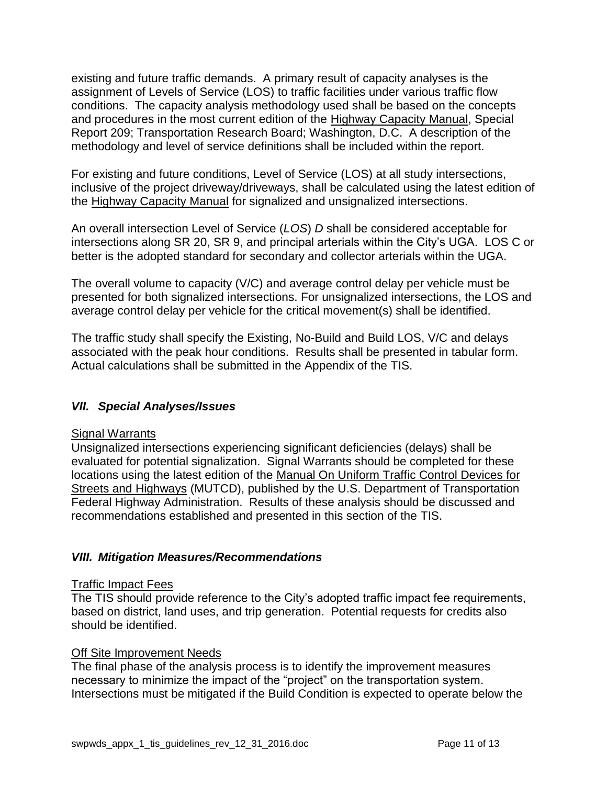existing and future traffic demands. A primary result of capacity analyses is the assignment of Levels of Service (LOS) to traffic facilities under various traffic flow conditions. The capacity analysis methodology used shall be based on the concepts and procedures in the most current edition of the Highway Capacity Manual, Special Report 209; Transportation Research Board; Washington, D.C. A description of the methodology and level of service definitions shall be included within the report.

For existing and future conditions, Level of Service (LOS) at all study intersections, inclusive of the project driveway/driveways, shall be calculated using the latest edition of the Highway Capacity Manual for signalized and unsignalized intersections.

An overall intersection Level of Service (*LOS*) *D* shall be considered acceptable for intersections along SR 20, SR 9, and principal arterials within the City's UGA. LOS C or better is the adopted standard for secondary and collector arterials within the UGA.

The overall volume to capacity (V/C) and average control delay per vehicle must be presented for both signalized intersections. For unsignalized intersections, the LOS and average control delay per vehicle for the critical movement(s) shall be identified.

The traffic study shall specify the Existing, No-Build and Build LOS, V/C and delays associated with the peak hour conditions. Results shall be presented in tabular form. Actual calculations shall be submitted in the Appendix of the TIS.

# *VII. Special Analyses/Issues*

## **Signal Warrants**

Unsignalized intersections experiencing significant deficiencies (delays) shall be evaluated for potential signalization. Signal Warrants should be completed for these locations using the latest edition of the Manual On Uniform Traffic Control Devices for Streets and Highways (MUTCD), published by the U.S. Department of Transportation Federal Highway Administration. Results of these analysis should be discussed and recommendations established and presented in this section of the TIS.

## *VIII. Mitigation Measures/Recommendations*

#### Traffic Impact Fees

The TIS should provide reference to the City's adopted traffic impact fee requirements, based on district, land uses, and trip generation. Potential requests for credits also should be identified.

## Off Site Improvement Needs

The final phase of the analysis process is to identify the improvement measures necessary to minimize the impact of the "project" on the transportation system. Intersections must be mitigated if the Build Condition is expected to operate below the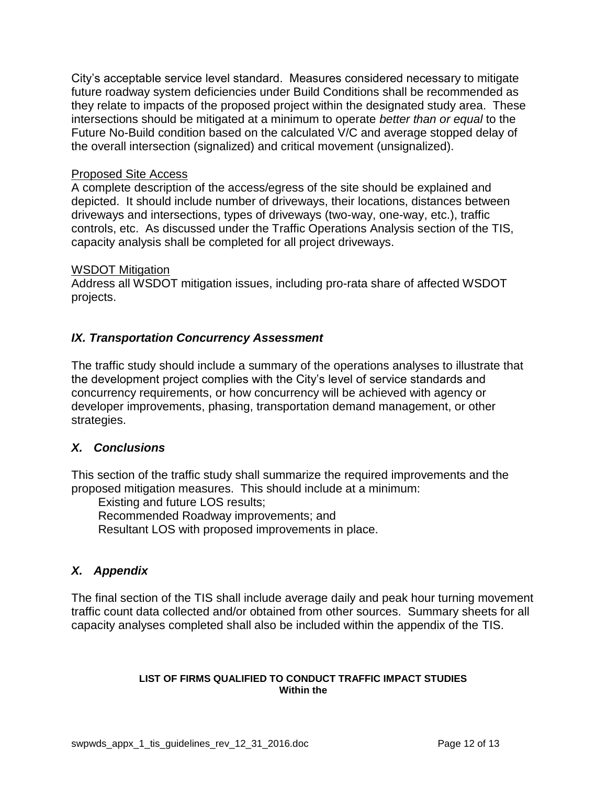City's acceptable service level standard. Measures considered necessary to mitigate future roadway system deficiencies under Build Conditions shall be recommended as they relate to impacts of the proposed project within the designated study area. These intersections should be mitigated at a minimum to operate *better than or equal* to the Future No-Build condition based on the calculated V/C and average stopped delay of the overall intersection (signalized) and critical movement (unsignalized).

#### Proposed Site Access

A complete description of the access/egress of the site should be explained and depicted. It should include number of driveways, their locations, distances between driveways and intersections, types of driveways (two-way, one-way, etc.), traffic controls, etc. As discussed under the Traffic Operations Analysis section of the TIS, capacity analysis shall be completed for all project driveways.

#### WSDOT Mitigation

Address all WSDOT mitigation issues, including pro-rata share of affected WSDOT projects.

## *IX. Transportation Concurrency Assessment*

The traffic study should include a summary of the operations analyses to illustrate that the development project complies with the City's level of service standards and concurrency requirements, or how concurrency will be achieved with agency or developer improvements, phasing, transportation demand management, or other strategies.

## *X. Conclusions*

This section of the traffic study shall summarize the required improvements and the proposed mitigation measures. This should include at a minimum:

Existing and future LOS results; Recommended Roadway improvements; and Resultant LOS with proposed improvements in place.

# *X. Appendix*

The final section of the TIS shall include average daily and peak hour turning movement traffic count data collected and/or obtained from other sources. Summary sheets for all capacity analyses completed shall also be included within the appendix of the TIS.

#### **LIST OF FIRMS QUALIFIED TO CONDUCT TRAFFIC IMPACT STUDIES Within the**